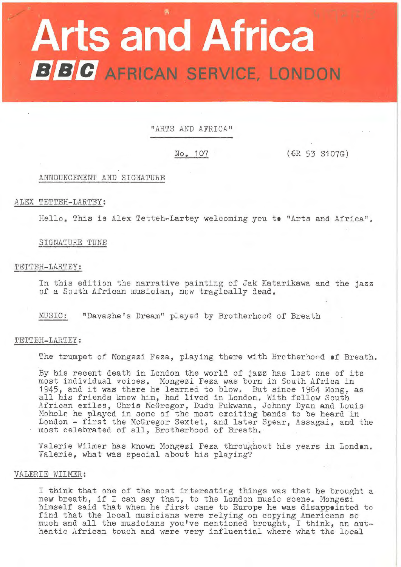# **Arts and Africa BBC** AFRICAN SERVICE, LONDON

"ARTS AND AFRICA"

No. 107 (6R 53 S107G)

# ANNOUNCEMENT AND SIGNATURE

# ALEX TETTEH-LARTEY:

Hello. This is Alex Tetteh-Lartey welcoming you to "Arts and Africa".

# SIGNATURE TUNE

# TETTEH-LARTEY:

In this edition the narrative painting of Jak Katarikawa and the jazz of a South African musician, now tragically dead.

MUSIC: "Davashe's Dream" played by Brotherhood of Breath

# TETTEH-LARTEY:

The trumpet of Mongezi Feza, playing there with Brotherhord of Breath.

By his recent death in London the world of jazz has lost one of its most individual voices. Mongezi Feza was born in South Africa in most individual volces. Mongezi reza was born in South Africa in<br>1945, and it was there he learned to blow. But since 1964 Mong, as 1945, and it was there he learned to blow. But since 1964 Mong,<br>all his friends knew him, had lived in London. With fellow South African exiles, Chris McGregor, Dudu Pukwana, Johnny Dyan and Louis Moholo he played in some of the most exciting bands to be heard in Hondro he prayed in some of the most excriting bands to be heard in<br>London - first the McGregor Sextet, and later Spear, Assagai, and the most celebrated of all, Brotherhood of Breath.

Valerie Wilmer has known Mongezi Feza throughout his years in **Londen.**  Valerie, what was special about his playing?

# VALERIE WILMER:

I think that one of the most interesting things was that he brought a I think that one of the most interesting things was that he orough<br>new breath, if I can say that, to the London music scene. Mongezi himself said that when he first came to Europe he was disappointed to find that the local musicians were relying on copying Americans so much and all the musicians you've mentioned brought, I think, an authentic African touch and were very influential where what the local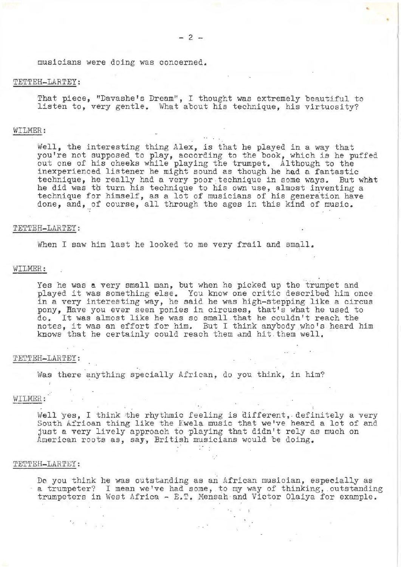musicians were doing was concerned.

# TETTEH-LARTEY:

That piece, "Davashe's Dream", I thought was extremely beautiful to listen to, very gentle. What about his technique, his virtuosity?

# WILMER:

Well, the interesting thing Alex, is that he played in a way that you're not supposed to play, according to the book, which is he puffed out one of his cheeks while playing the trumpet. Although to the inexperienced listener he might sound as though he had a fantastic technique, he really had a very poor technique in some ways. But what he did was th turn his technique to his own use, almost inventing a technique for himself, as a lot of musicians of his generation have done, and, of course, all through the ages in this kind of music.

#### TETTEH-LARTEY:

When I saw him last he looked to me very frail and small.

# WILMER:

Yes he was a very small man, but when he picked up the trumpet and played it was something else. You know one critic described him once in a very interesting way, he said he was high-stepping like a circus pony, Have you ever seen ponies in circuses, that's what he used to pony, have you ever seen ponies in circuses, that's what he used to do. It was almost like he was so small that he couldn't reach the do. It was almost like he was so small that he couldn't reach the<br>notes, it was an effort for him. But I think anybody who's heard him knows that he certainly could reach them and hit. them well.

#### TETTEH-LARTEY:

Was there anything specially African, do you think, in him?

# WILMER:

Well yes, I think the rhythmic feeling is different, definitely a very South African thing like the Kwela music that we've heard a lot of and just a very lively approach to playing that didn't rely as much on American roots as, say, British musicians would be doing.

#### TETTEH-LARTEY:

De you think he was outstanding as an African musician, especially as a trumpeter? I mean we've had some, to my way of thinking, .outstanding trumpeters in West Africa -  $E.F.$  Mensah and Victor Olaiya for example.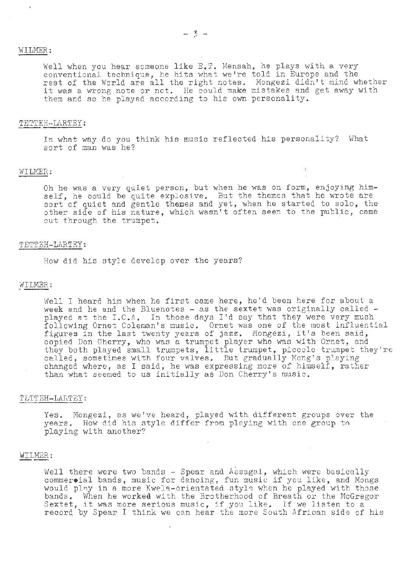# WILMER:

Well when you hear someone like E.T. Mensah, he plays with a very conventional technique, he hits what we're told in Europe and the rest of the World are all the right notes. Mongezi didn't mind whether it was a wrong note or not. He could make mistakes and get away with them and so he played according to his own personality.

#### TETTEH-LARTEY:

In what way do you think his music reflected his personality? What sort of man was he?

#### WILMER:

Oh he was a very quiet person, but when he was on form, enjoying himself, he could be quite explosive. But the themes that he wrote are sort, he coald so quiet on property, when he started to solo, the other side of his nature, which wasn't often seen to the public, came out through the trumpet.

# TETTEH-LARTEY:

How did his style develop over the years?

#### WILMER:

Well I heard him when he first came here, he'd been here for about a week and he and the Bluenotes  $\sim$  as the sextet was originally called  $\sim$ week and he and the Bluenotes - as the sextet was originally called - played at the I.C.A. In those days I'd say that they were very mush following Ornet Coleman's music. Ornet was one of the most influential figures in the last twenty years of jazz. Mongezi, it's been said, copied *Don* Cherry, who was a trumpet player who was with Ornet, and they both played small trumpets, little trumpet, piccolo trumpet they're called, sometimes with four valves. But gradually Mong's playing changed where, as I said, he was expressing more of himself, rather than what seemed to us initially as *Don* Cherry's music.

# TETTEH-LARTEY:

Yes. Mongezi, as we've heard, played with different groups over the years. How did his style differ from playing with one group tn playing with another?

#### WILMER:

Well there were two bands  $-$  Spear and Assagai, which were basically well there were two bands + Spear and Assagal, which were basicatly<br>commer•ial bands, music for dancing, fun music if you like, and Mongs would play in a more Kwela-orientated style when he played with those bands. When he worked with the Brotherhood of Breath or the McGregor Sextet, it was more serious music, if you like. If we listen to a record by Spear I think we can hear the more South African side of his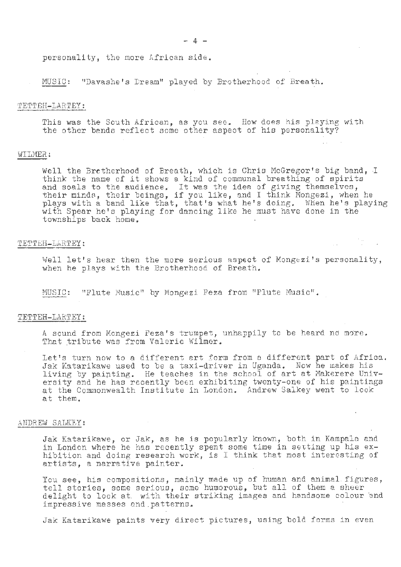personality, the more African side.

MUSIC: "Davashe's Dream" played by Brotherhood of Breath.

#### TETTEH-LARTEY:

This was the South African, as you see. How does his playing with the other bands reflect some other aspect of his personality?

## WILMER:

Well the Brctherhood of Breath, which is Chris McGregor's big band, I think the name of it shows a kind of communal breathing of spirits enink the hame of it shows a kind of communal breathing of spirit.<br>and soals to the audience. It was the idea of giving themselves, and soals to the audience, it was the luea of giving themselves,<br>their minds, their beings, if you like, and I think Mongezi, when he<br>plays with a band like that, that's what he's doing. When he's playing with Spear he's playing for dancing like he must have done in the townships back home.

# TETTEH-LARTEY:

Well let's hear then the more serious aspect of Mongezi's personality, when he plays with the Brotherhood of Breath.

MUSIC: "Flute Music" by Mongezi Feza from "Flute Music".

# TETTEH-LARTEY:

A sound from Mongezi Feza's trumpet, unhappily to be heard no more. That tribute was from Valerie Wilmer.

Let's turn now to a different art. form from a different part of Africa. Jak Katarikawe used to be a taxi-driver in Uganda. Now he makes his living by paipting. He teaches in the school of art at Makerere University and he has recently been exhibiting twenty-one of his paintings at the Commonwealth Institute in London. Andrew Salkey went to look at them.

# ANDREW SALKEY:

Jak Katarikawe, or Jak, as he is popularly known, both in Kampala and in London where he has recently spent some time in setting up his exhibition and doing research work, is I think that most interesting of artists, a narrative painter.

You see, his compositions, mainly made up of human and animal. figures, tell stories, some serious, some humorous, but all of them a sheer .delight to look at with their striking images and handsome colour and impressive masses and .patterns.

Jak Katarikawe paints very direct pictures, using bold forms in even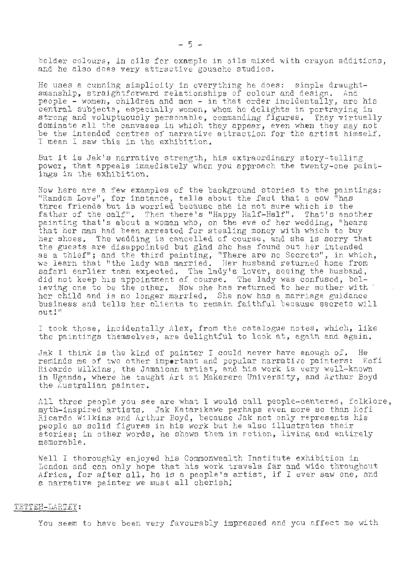bolder colours, in oils for example in oils mixed with crayon additions, and he also does very attractive gouache studies.

He uses a cunning simplicity in everything he does: simple draughtsmanship, straightforward relationships of colour and design. And people - women, children and men - in that order incidentally, are his central subjects, especially women, whom he delights in portraying in strong and voluptuously personable, commanding figures. They virtually dominate all the canvases in which they appear, even when they may not be the intended centres of narrative attraction for the artist himself. I mean I saw this in the exhibition.

But it is Jak's narrative strength, his extraordinary story-telling power, that appeals immediately when you approach the twenty-one paint-<br>ings in the exhibition.

Now here are a few examples of the background stories to the paintings: "Random Love", for instance, tells about the fact that a cow "has three friends but is worried because she is not sure which is the father of the calf". Then there's "Happy Half-Half". That's another painting that's about a woman who, on the eve of her wedding, "hears that her man had been arrested for stealing money with which to buy her shoes. The wedding is cancelled of course, and she is sorry that the guests are disappointed but glad she has found out her intended as a thief"; and the third painting, "There are no Secrets", in which, we learn that "the lady was married. Her husband returned home from safari earlier than expected. The lady's lover, seeing the husband, did not keep his appointment of course. The lady was confused, believing one to be the other. Now she has returned to her mother with her child and is no longer married. She now has a marriage guidance business and tells her clients to remain faithful because secrets will out!"

I took those, incidentally Alex, from the catalogue notes, which, like the paintings themselves, are delightful to look at, again and again.

Jak I think is the kind of painter I could never have enough of. He reminds me of two other **impertant** and popular narrative painters: Kofi Ricardo Wilkins, the Jamaican artist, and his work is very well-known in Uganda, where he taught Art at Makerere University, and Arthur Boyd the Australian painter.

All three people you see are what I would call people-centered, folklore, myth-inspired artists. Jak Katarikawe perhaps even more so than Kofi Ricardo Wilkins and Arthur Boyd, because Jak not only represents his people as solid figures in his work but he also illustrates their stories; in other words, he shows them in action, living and entirely memorable.

Well I thoroughly enjoyed his Commonwealth Institute exhibition in London and can only hope that his work travels far and wide throughout Africa, for after all, he is a people's artist, if I ever saw one, and a narrative painter we must all cherish!

#### TETTEH- LARTEY:

You seem to have been very favourably impressed and you affect me with